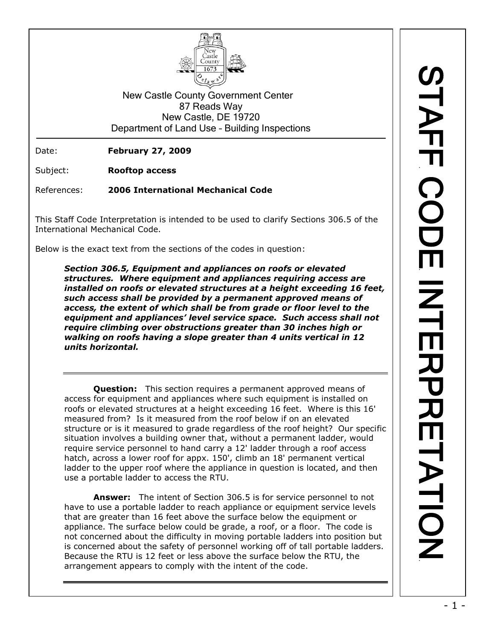

New Castle County Government Center 87 Reads Way New Castle, DE 19720 Department of Land Use – Building Inspections

Date: **February 27, 2009**

Subject: **Rooftop access**

References: **2006 International Mechanical Code**

This Staff Code Interpretation is intended to be used to clarify Sections 306.5 of the International Mechanical Code.

Below is the exact text from the sections of the codes in question:

*Section 306.5, Equipment and appliances on roofs or elevated structures. Where equipment and appliances requiring access are installed on roofs or elevated structures at a height exceeding 16 feet, such access shall be provided by a permanent approved means of access, the extent of which shall be from grade or floor level to the equipment and appliances' level service space. Such access shall not require climbing over obstructions greater than 30 inches high or walking on roofs having a slope greater than 4 units vertical in 12 units horizontal.*

**Question:** This section requires a permanent approved means of access for equipment and appliances where such equipment is installed on roofs or elevated structures at a height exceeding 16 feet. Where is this 16' measured from? Is it measured from the roof below if on an elevated structure or is it measured to grade regardless of the roof height? Our specific situation involves a building owner that, without a permanent ladder, would require service personnel to hand carry a 12' ladder through a roof access hatch, across a lower roof for appx. 150', climb an 18' permanent vertical ladder to the upper roof where the appliance in question is located, and then use a portable ladder to access the RTU.

**Answer:** The intent of Section 306.5 is for service personnel to not have to use a portable ladder to reach appliance or equipment service levels that are greater than 16 feet above the surface below the equipment or appliance. The surface below could be grade, a roof, or a floor. The code is not concerned about the difficulty in moving portable ladders into position but is concerned about the safety of personnel working off of tall portable ladders. Because the RTU is 12 feet or less above the surface below the RTU, the arrangement appears to comply with the intent of the code.